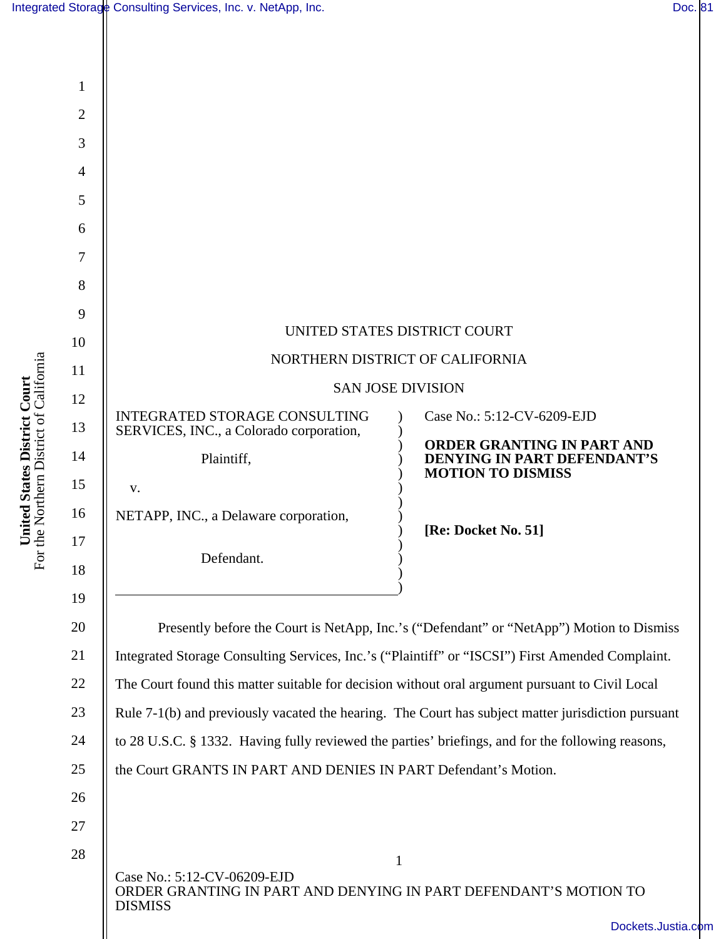| Integrated Storage Consulting Services, Inc. v. NetApp, Inc. | Doc. 81 |  |
|--------------------------------------------------------------|---------|--|
|--------------------------------------------------------------|---------|--|

**United States District Court**  For the Northern District of California

**United States District Court**<br>For the Northern District of California

| 1              |                                                                                                                                   |                                                                                       |  |  |
|----------------|-----------------------------------------------------------------------------------------------------------------------------------|---------------------------------------------------------------------------------------|--|--|
| $\overline{2}$ |                                                                                                                                   |                                                                                       |  |  |
| 3              |                                                                                                                                   |                                                                                       |  |  |
| $\overline{4}$ |                                                                                                                                   |                                                                                       |  |  |
| 5              |                                                                                                                                   |                                                                                       |  |  |
| 6              |                                                                                                                                   |                                                                                       |  |  |
| 7              |                                                                                                                                   |                                                                                       |  |  |
| 8              |                                                                                                                                   |                                                                                       |  |  |
| 9              |                                                                                                                                   |                                                                                       |  |  |
| 10             | UNITED STATES DISTRICT COURT                                                                                                      |                                                                                       |  |  |
| 11             | NORTHERN DISTRICT OF CALIFORNIA                                                                                                   |                                                                                       |  |  |
| 12             | <b>SAN JOSE DIVISION</b>                                                                                                          |                                                                                       |  |  |
| 13             | <b>INTEGRATED STORAGE CONSULTING</b><br>SERVICES, INC., a Colorado corporation,                                                   | Case No.: 5:12-CV-6209-EJD                                                            |  |  |
| 14             | Plaintiff,                                                                                                                        | ORDER GRANTING IN PART AND<br>DENYING IN PART DEFENDANT'S<br><b>MOTION TO DISMISS</b> |  |  |
| 15             | V.                                                                                                                                |                                                                                       |  |  |
| 16             | NETAPP, INC., a Delaware corporation,                                                                                             | [Re: Docket No. 51]                                                                   |  |  |
| 17             | Defendant.                                                                                                                        |                                                                                       |  |  |
| 18             |                                                                                                                                   |                                                                                       |  |  |
| 19             |                                                                                                                                   |                                                                                       |  |  |
| 20             | Presently before the Court is NetApp, Inc.'s ("Defendant" or "NetApp") Motion to Dismiss                                          |                                                                                       |  |  |
| 21             | Integrated Storage Consulting Services, Inc.'s ("Plaintiff" or "ISCSI") First Amended Complaint.                                  |                                                                                       |  |  |
| 22             | The Court found this matter suitable for decision without oral argument pursuant to Civil Local                                   |                                                                                       |  |  |
| 23             | Rule 7-1(b) and previously vacated the hearing. The Court has subject matter jurisdiction pursuant                                |                                                                                       |  |  |
| 24             | to 28 U.S.C. § 1332. Having fully reviewed the parties' briefings, and for the following reasons,                                 |                                                                                       |  |  |
| 25             | the Court GRANTS IN PART AND DENIES IN PART Defendant's Motion.                                                                   |                                                                                       |  |  |
| 26             |                                                                                                                                   |                                                                                       |  |  |
| 27             |                                                                                                                                   |                                                                                       |  |  |
| 28             | $\mathbf{1}$<br>Case No.: 5:12-CV-06209-EJD<br>ORDER GRANTING IN PART AND DENYING IN PART DEFENDANT'S MOTION TO<br><b>DISMISS</b> | Dockets.Justia.com                                                                    |  |  |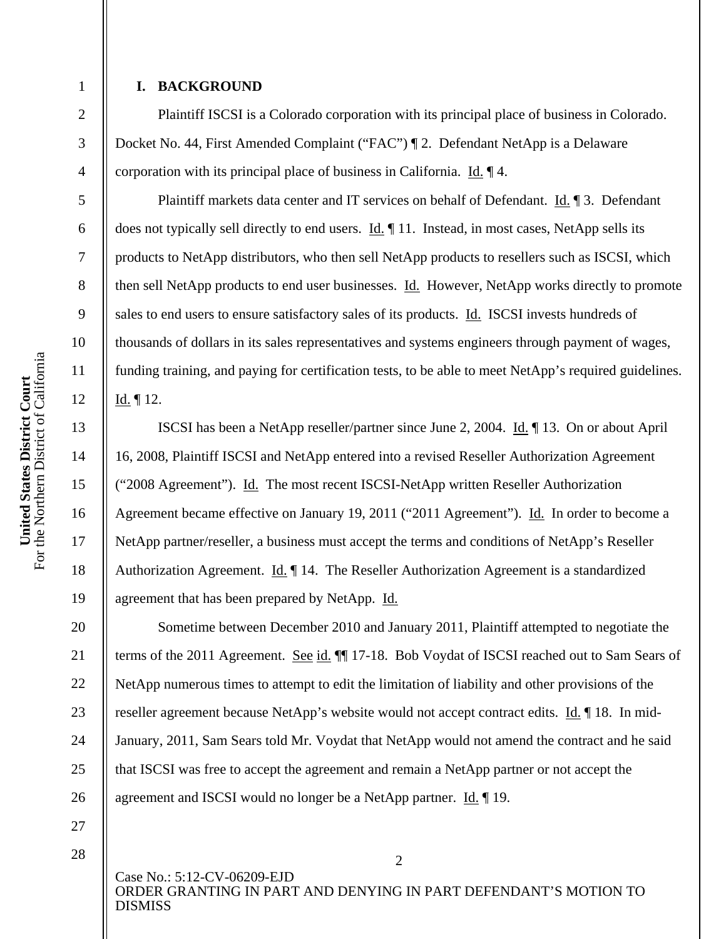### **I. BACKGROUND**

1

2

3

4

5

6

7

8

9

10

11

12

13

14

15

16

17

18

19

20

21

22

23

24

25

26

Plaintiff ISCSI is a Colorado corporation with its principal place of business in Colorado. Docket No. 44, First Amended Complaint ("FAC") ¶ 2. Defendant NetApp is a Delaware corporation with its principal place of business in California. Id. ¶ 4.

Plaintiff markets data center and IT services on behalf of Defendant. Id. ¶ 3. Defendant does not typically sell directly to end users. Id. ¶ 11. Instead, in most cases, NetApp sells its products to NetApp distributors, who then sell NetApp products to resellers such as ISCSI, which then sell NetApp products to end user businesses. Id. However, NetApp works directly to promote sales to end users to ensure satisfactory sales of its products. Id. ISCSI invests hundreds of thousands of dollars in its sales representatives and systems engineers through payment of wages, funding training, and paying for certification tests, to be able to meet NetApp's required guidelines. Id. ¶ 12.

ISCSI has been a NetApp reseller/partner since June 2, 2004. Id. ¶ 13. On or about April 16, 2008, Plaintiff ISCSI and NetApp entered into a revised Reseller Authorization Agreement ("2008 Agreement"). Id. The most recent ISCSI-NetApp written Reseller Authorization Agreement became effective on January 19, 2011 ("2011 Agreement"). Id. In order to become a NetApp partner/reseller, a business must accept the terms and conditions of NetApp's Reseller Authorization Agreement. Id. ¶ 14. The Reseller Authorization Agreement is a standardized agreement that has been prepared by NetApp. Id.

Sometime between December 2010 and January 2011, Plaintiff attempted to negotiate the terms of the 2011 Agreement. See id. ¶¶ 17-18. Bob Voydat of ISCSI reached out to Sam Sears of NetApp numerous times to attempt to edit the limitation of liability and other provisions of the reseller agreement because NetApp's website would not accept contract edits. Id. ¶ 18. In mid-January, 2011, Sam Sears told Mr. Voydat that NetApp would not amend the contract and he said that ISCSI was free to accept the agreement and remain a NetApp partner or not accept the agreement and ISCSI would no longer be a NetApp partner. Id. ¶ 19.

27 28

> Case No.: 5:12-CV-06209-EJD ORDER GRANTING IN PART AND DENYING IN PART DEFENDANT'S MOTION TO DISMISS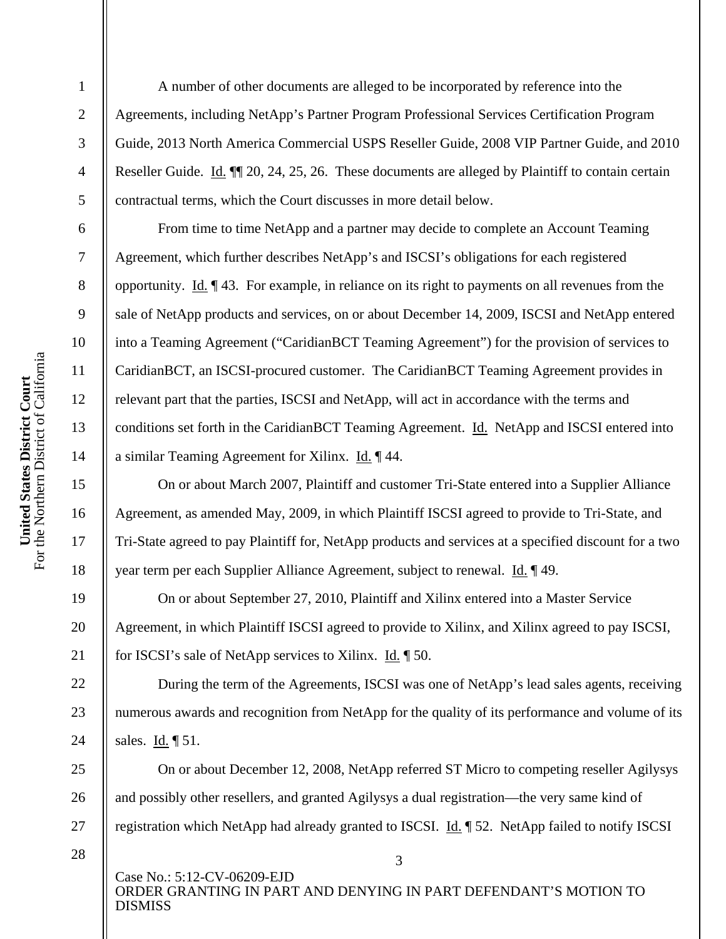2

3

4

5

6

7

8

9

10

11

12

13

14

15

16

17

18

19

20

21

22

23

24

25

26

27

A number of other documents are alleged to be incorporated by reference into the Agreements, including NetApp's Partner Program Professional Services Certification Program Guide, 2013 North America Commercial USPS Reseller Guide, 2008 VIP Partner Guide, and 2010 Reseller Guide. Id. ¶¶ 20, 24, 25, 26. These documents are alleged by Plaintiff to contain certain contractual terms, which the Court discusses in more detail below.

From time to time NetApp and a partner may decide to complete an Account Teaming Agreement, which further describes NetApp's and ISCSI's obligations for each registered opportunity. Id. ¶ 43. For example, in reliance on its right to payments on all revenues from the sale of NetApp products and services, on or about December 14, 2009, ISCSI and NetApp entered into a Teaming Agreement ("CaridianBCT Teaming Agreement") for the provision of services to CaridianBCT, an ISCSI-procured customer. The CaridianBCT Teaming Agreement provides in relevant part that the parties, ISCSI and NetApp, will act in accordance with the terms and conditions set forth in the CaridianBCT Teaming Agreement. Id. NetApp and ISCSI entered into a similar Teaming Agreement for Xilinx. Id. ¶ 44.

On or about March 2007, Plaintiff and customer Tri-State entered into a Supplier Alliance Agreement, as amended May, 2009, in which Plaintiff ISCSI agreed to provide to Tri-State, and Tri-State agreed to pay Plaintiff for, NetApp products and services at a specified discount for a two year term per each Supplier Alliance Agreement, subject to renewal. Id. ¶ 49.

On or about September 27, 2010, Plaintiff and Xilinx entered into a Master Service Agreement, in which Plaintiff ISCSI agreed to provide to Xilinx, and Xilinx agreed to pay ISCSI, for ISCSI's sale of NetApp services to Xilinx. Id. ¶ 50.

During the term of the Agreements, ISCSI was one of NetApp's lead sales agents, receiving numerous awards and recognition from NetApp for the quality of its performance and volume of its sales. Id. ¶ 51.

On or about December 12, 2008, NetApp referred ST Micro to competing reseller Agilysys and possibly other resellers, and granted Agilysys a dual registration—the very same kind of registration which NetApp had already granted to ISCSI. Id. ¶ 52. NetApp failed to notify ISCSI

28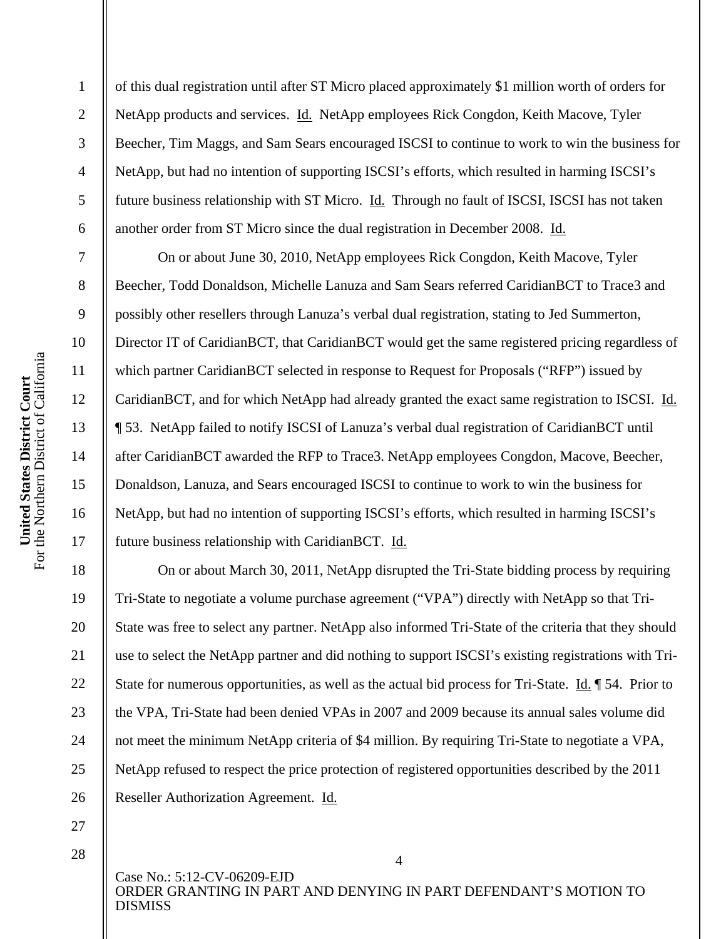2

3

4

5

6

7

8

9

10

11

12

13

14

15

16

17

18

19

20

21

22

23

24

25

26

of this dual registration until after ST Micro placed approximately \$1 million worth of orders for NetApp products and services. Id. NetApp employees Rick Congdon, Keith Macove, Tyler Beecher, Tim Maggs, and Sam Sears encouraged ISCSI to continue to work to win the business for NetApp, but had no intention of supporting ISCSI's efforts, which resulted in harming ISCSI's future business relationship with ST Micro. Id. Through no fault of ISCSI, ISCSI has not taken another order from ST Micro since the dual registration in December 2008. Id.

On or about June 30, 2010, NetApp employees Rick Congdon, Keith Macove, Tyler Beecher, Todd Donaldson, Michelle Lanuza and Sam Sears referred CaridianBCT to Trace3 and possibly other resellers through Lanuza's verbal dual registration, stating to Jed Summerton, Director IT of CaridianBCT, that CaridianBCT would get the same registered pricing regardless of which partner CaridianBCT selected in response to Request for Proposals ("RFP") issued by CaridianBCT, and for which NetApp had already granted the exact same registration to ISCSI. Id. ¶ 53. NetApp failed to notify ISCSI of Lanuza's verbal dual registration of CaridianBCT until after CaridianBCT awarded the RFP to Trace3. NetApp employees Congdon, Macove, Beecher, Donaldson, Lanuza, and Sears encouraged ISCSI to continue to work to win the business for NetApp, but had no intention of supporting ISCSI's efforts, which resulted in harming ISCSI's future business relationship with CaridianBCT. Id.

On or about March 30, 2011, NetApp disrupted the Tri-State bidding process by requiring Tri-State to negotiate a volume purchase agreement ("VPA") directly with NetApp so that Tri-State was free to select any partner. NetApp also informed Tri-State of the criteria that they should use to select the NetApp partner and did nothing to support ISCSI's existing registrations with Tri-State for numerous opportunities, as well as the actual bid process for Tri-State. Id. ¶ 54. Prior to the VPA, Tri-State had been denied VPAs in 2007 and 2009 because its annual sales volume did not meet the minimum NetApp criteria of \$4 million. By requiring Tri-State to negotiate a VPA, NetApp refused to respect the price protection of registered opportunities described by the 2011 Reseller Authorization Agreement. Id.

27 28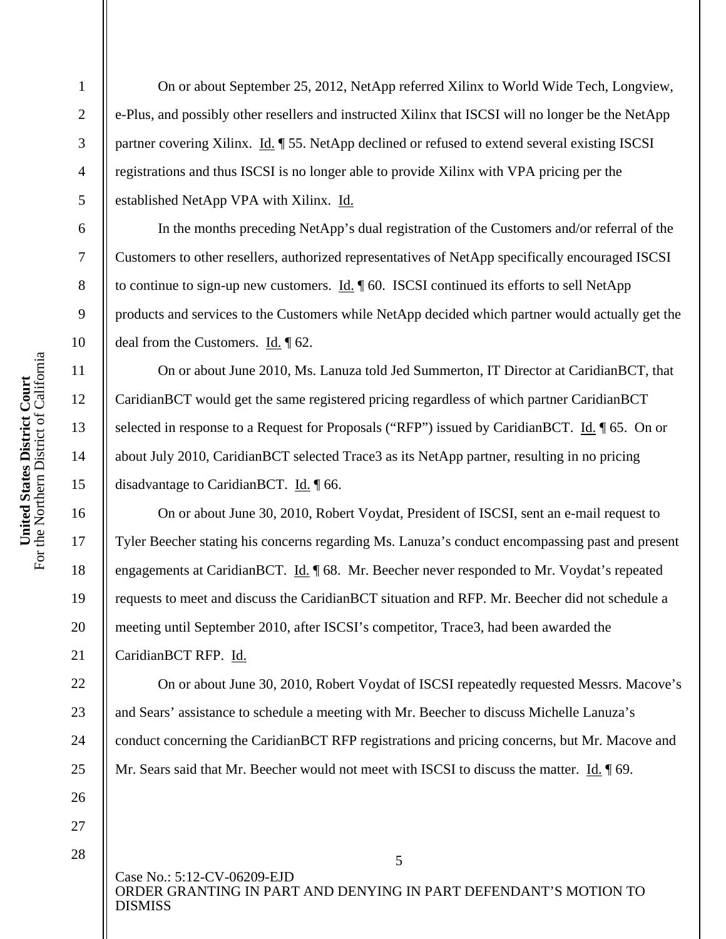2

3

4

5

6

7

8

9

10

11

12

13

14

15

16

17

18

19

20

21

22

23

24

25

26

On or about September 25, 2012, NetApp referred Xilinx to World Wide Tech, Longview, e-Plus, and possibly other resellers and instructed Xilinx that ISCSI will no longer be the NetApp partner covering Xilinx. Id. ¶ 55. NetApp declined or refused to extend several existing ISCSI registrations and thus ISCSI is no longer able to provide Xilinx with VPA pricing per the established NetApp VPA with Xilinx. Id.

In the months preceding NetApp's dual registration of the Customers and/or referral of the Customers to other resellers, authorized representatives of NetApp specifically encouraged ISCSI to continue to sign-up new customers. Id. ¶ 60. ISCSI continued its efforts to sell NetApp products and services to the Customers while NetApp decided which partner would actually get the deal from the Customers. Id. ¶ 62.

On or about June 2010, Ms. Lanuza told Jed Summerton, IT Director at CaridianBCT, that CaridianBCT would get the same registered pricing regardless of which partner CaridianBCT selected in response to a Request for Proposals ("RFP") issued by CaridianBCT. Id. ¶ 65. On or about July 2010, CaridianBCT selected Trace3 as its NetApp partner, resulting in no pricing disadvantage to CaridianBCT. Id. ¶ 66.

On or about June 30, 2010, Robert Voydat, President of ISCSI, sent an e-mail request to Tyler Beecher stating his concerns regarding Ms. Lanuza's conduct encompassing past and present engagements at CaridianBCT. Id. ¶ 68. Mr. Beecher never responded to Mr. Voydat's repeated requests to meet and discuss the CaridianBCT situation and RFP. Mr. Beecher did not schedule a meeting until September 2010, after ISCSI's competitor, Trace3, had been awarded the CaridianBCT RFP. Id.

On or about June 30, 2010, Robert Voydat of ISCSI repeatedly requested Messrs. Macove's and Sears' assistance to schedule a meeting with Mr. Beecher to discuss Michelle Lanuza's conduct concerning the CaridianBCT RFP registrations and pricing concerns, but Mr. Macove and Mr. Sears said that Mr. Beecher would not meet with ISCSI to discuss the matter. Id. ¶ 69.

27 28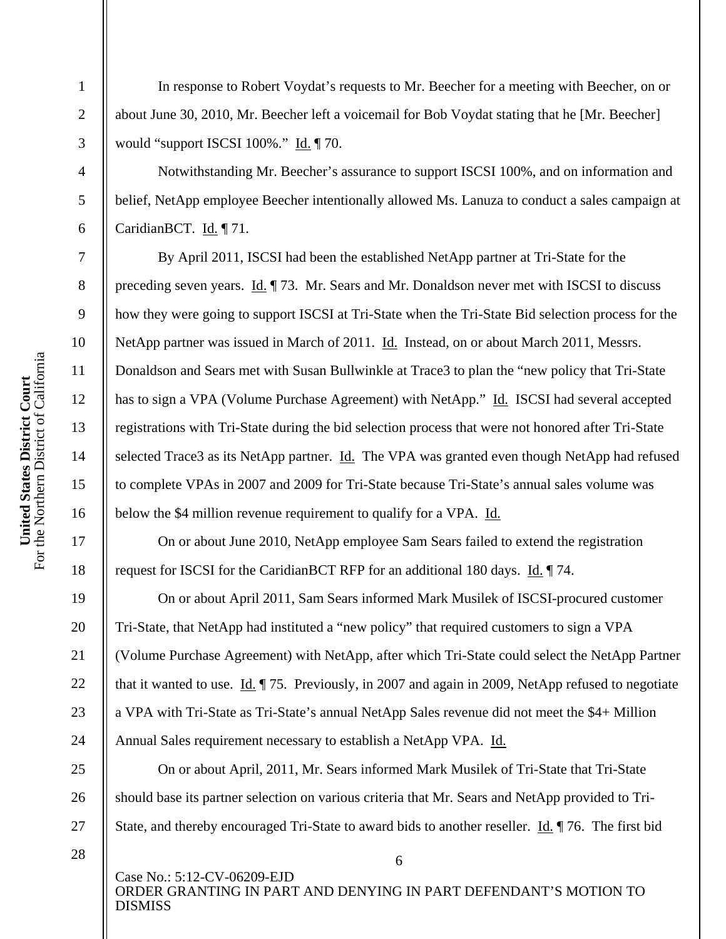In response to Robert Voydat's requests to Mr. Beecher for a meeting with Beecher, on or about June 30, 2010, Mr. Beecher left a voicemail for Bob Voydat stating that he [Mr. Beecher] would "support ISCSI 100%." Id. ¶ 70.

Notwithstanding Mr. Beecher's assurance to support ISCSI 100%, and on information and belief, NetApp employee Beecher intentionally allowed Ms. Lanuza to conduct a sales campaign at CaridianBCT. Id. ¶ 71.

By April 2011, ISCSI had been the established NetApp partner at Tri-State for the preceding seven years. Id. ¶ 73. Mr. Sears and Mr. Donaldson never met with ISCSI to discuss how they were going to support ISCSI at Tri-State when the Tri-State Bid selection process for the NetApp partner was issued in March of 2011. Id. Instead, on or about March 2011, Messrs. Donaldson and Sears met with Susan Bullwinkle at Trace3 to plan the "new policy that Tri-State has to sign a VPA (Volume Purchase Agreement) with NetApp." Id. ISCSI had several accepted registrations with Tri-State during the bid selection process that were not honored after Tri-State selected Trace3 as its NetApp partner. Id. The VPA was granted even though NetApp had refused to complete VPAs in 2007 and 2009 for Tri-State because Tri-State's annual sales volume was below the \$4 million revenue requirement to qualify for a VPA. Id.

On or about June 2010, NetApp employee Sam Sears failed to extend the registration request for ISCSI for the CaridianBCT RFP for an additional 180 days. Id. ¶ 74.

On or about April 2011, Sam Sears informed Mark Musilek of ISCSI-procured customer Tri-State, that NetApp had instituted a "new policy" that required customers to sign a VPA (Volume Purchase Agreement) with NetApp, after which Tri-State could select the NetApp Partner that it wanted to use. Id. ¶ 75. Previously, in 2007 and again in 2009, NetApp refused to negotiate a VPA with Tri-State as Tri-State's annual NetApp Sales revenue did not meet the \$4+ Million Annual Sales requirement necessary to establish a NetApp VPA. Id.

On or about April, 2011, Mr. Sears informed Mark Musilek of Tri-State that Tri-State should base its partner selection on various criteria that Mr. Sears and NetApp provided to Tri-State, and thereby encouraged Tri-State to award bids to another reseller. Id. ¶ 76. The first bid

28

Case No.: 5:12-CV-06209-EJD ORDER GRANTING IN PART AND DENYING IN PART DEFENDANT'S MOTION TO DISMISS

6

1

2

3

4

5

6

7

8

9

10

11

12

13

14

15

16

17

18

19

20

21

22

23

24

25

26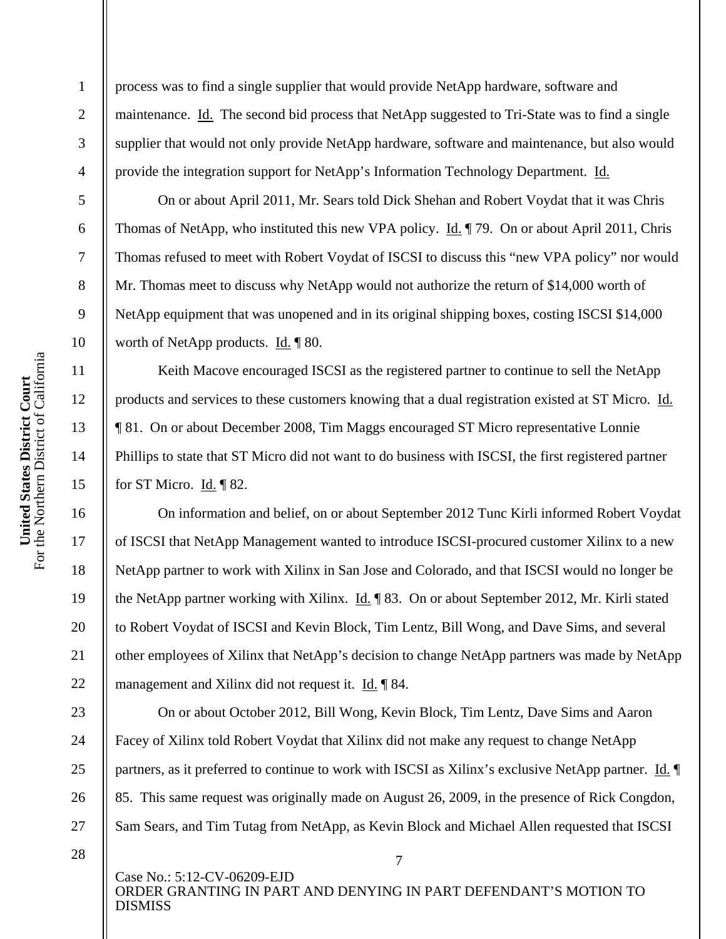process was to find a single supplier that would provide NetApp hardware, software and maintenance. Id. The second bid process that NetApp suggested to Tri-State was to find a single supplier that would not only provide NetApp hardware, software and maintenance, but also would provide the integration support for NetApp's Information Technology Department. Id.

On or about April 2011, Mr. Sears told Dick Shehan and Robert Voydat that it was Chris Thomas of NetApp, who instituted this new VPA policy. Id. ¶ 79. On or about April 2011, Chris Thomas refused to meet with Robert Voydat of ISCSI to discuss this "new VPA policy" nor would Mr. Thomas meet to discuss why NetApp would not authorize the return of \$14,000 worth of NetApp equipment that was unopened and in its original shipping boxes, costing ISCSI \$14,000 worth of NetApp products. Id. ¶ 80.

Keith Macove encouraged ISCSI as the registered partner to continue to sell the NetApp products and services to these customers knowing that a dual registration existed at ST Micro. Id. ¶ 81. On or about December 2008, Tim Maggs encouraged ST Micro representative Lonnie Phillips to state that ST Micro did not want to do business with ISCSI, the first registered partner for ST Micro. Id. ¶ 82.

On information and belief, on or about September 2012 Tunc Kirli informed Robert Voydat of ISCSI that NetApp Management wanted to introduce ISCSI-procured customer Xilinx to a new NetApp partner to work with Xilinx in San Jose and Colorado, and that ISCSI would no longer be the NetApp partner working with Xilinx. Id. ¶ 83. On or about September 2012, Mr. Kirli stated to Robert Voydat of ISCSI and Kevin Block, Tim Lentz, Bill Wong, and Dave Sims, and several other employees of Xilinx that NetApp's decision to change NetApp partners was made by NetApp management and Xilinx did not request it. Id. ¶ 84.

On or about October 2012, Bill Wong, Kevin Block, Tim Lentz, Dave Sims and Aaron Facey of Xilinx told Robert Voydat that Xilinx did not make any request to change NetApp partners, as it preferred to continue to work with ISCSI as Xilinx's exclusive NetApp partner. Id. ¶ 85. This same request was originally made on August 26, 2009, in the presence of Rick Congdon, Sam Sears, and Tim Tutag from NetApp, as Kevin Block and Michael Allen requested that ISCSI

28

Case No.: 5:12-CV-06209-EJD ORDER GRANTING IN PART AND DENYING IN PART DEFENDANT'S MOTION TO DISMISS

7

1

2

3

4

5

6

7

8

9

10

11

12

13

14

15

16

17

18

19

20

21

22

23

24

25

26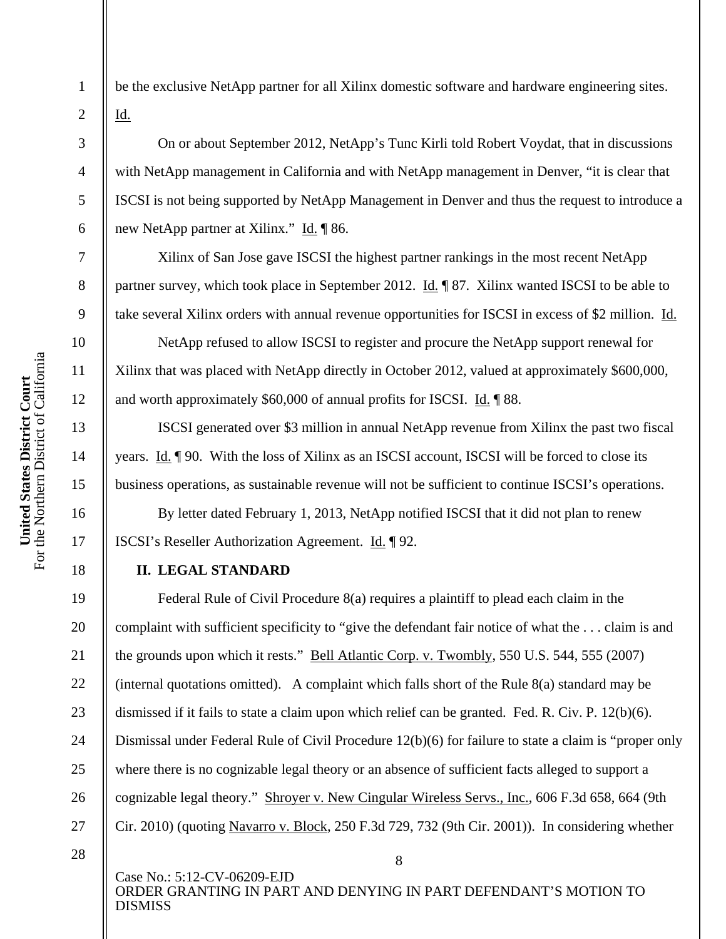2

3

4

5

6

7

8

9

10

11

12

13

14

15

16

17

18

19

20

21

22

23

24

25

26

27

be the exclusive NetApp partner for all Xilinx domestic software and hardware engineering sites. Id.

On or about September 2012, NetApp's Tunc Kirli told Robert Voydat, that in discussions with NetApp management in California and with NetApp management in Denver, "it is clear that ISCSI is not being supported by NetApp Management in Denver and thus the request to introduce a new NetApp partner at Xilinx." Id. ¶ 86.

Xilinx of San Jose gave ISCSI the highest partner rankings in the most recent NetApp partner survey, which took place in September 2012. Id. ¶ 87. Xilinx wanted ISCSI to be able to take several Xilinx orders with annual revenue opportunities for ISCSI in excess of \$2 million. Id.

NetApp refused to allow ISCSI to register and procure the NetApp support renewal for Xilinx that was placed with NetApp directly in October 2012, valued at approximately \$600,000, and worth approximately \$60,000 of annual profits for ISCSI. Id. ¶ 88.

ISCSI generated over \$3 million in annual NetApp revenue from Xilinx the past two fiscal years. Id. ¶ 90. With the loss of Xilinx as an ISCSI account, ISCSI will be forced to close its business operations, as sustainable revenue will not be sufficient to continue ISCSI's operations.

By letter dated February 1, 2013, NetApp notified ISCSI that it did not plan to renew ISCSI's Reseller Authorization Agreement. Id. ¶ 92.

### **II. LEGAL STANDARD**

Federal Rule of Civil Procedure 8(a) requires a plaintiff to plead each claim in the complaint with sufficient specificity to "give the defendant fair notice of what the . . . claim is and the grounds upon which it rests." Bell Atlantic Corp. v. Twombly, 550 U.S. 544, 555 (2007) (internal quotations omitted). A complaint which falls short of the Rule 8(a) standard may be dismissed if it fails to state a claim upon which relief can be granted. Fed. R. Civ. P. 12(b)(6). Dismissal under Federal Rule of Civil Procedure 12(b)(6) for failure to state a claim is "proper only where there is no cognizable legal theory or an absence of sufficient facts alleged to support a cognizable legal theory." Shroyer v. New Cingular Wireless Servs., Inc., 606 F.3d 658, 664 (9th Cir. 2010) (quoting Navarro v. Block, 250 F.3d 729, 732 (9th Cir. 2001)). In considering whether

<sup>28</sup>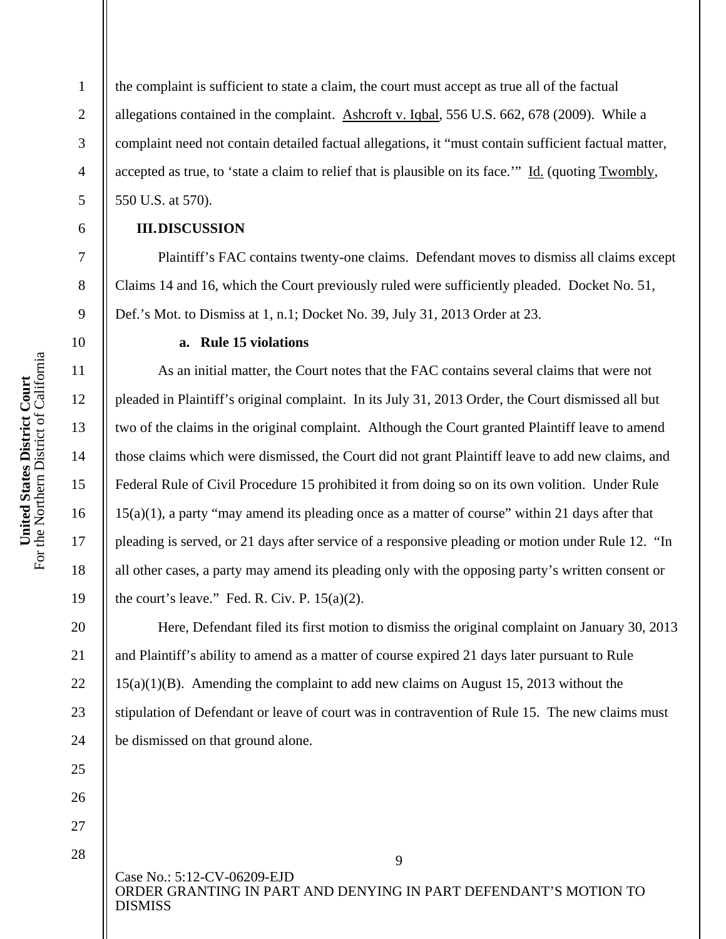the complaint is sufficient to state a claim, the court must accept as true all of the factual allegations contained in the complaint. Ashcroft v. Iqbal, 556 U.S. 662, 678 (2009). While a complaint need not contain detailed factual allegations, it "must contain sufficient factual matter, accepted as true, to 'state a claim to relief that is plausible on its face.'" Id. (quoting Twombly, 550 U.S. at 570).

#### **III.DISCUSSION**

Plaintiff's FAC contains twenty-one claims. Defendant moves to dismiss all claims except Claims 14 and 16, which the Court previously ruled were sufficiently pleaded. Docket No. 51, Def.'s Mot. to Dismiss at 1, n.1; Docket No. 39, July 31, 2013 Order at 23.

#### **a. Rule 15 violations**

As an initial matter, the Court notes that the FAC contains several claims that were not pleaded in Plaintiff's original complaint. In its July 31, 2013 Order, the Court dismissed all but two of the claims in the original complaint. Although the Court granted Plaintiff leave to amend those claims which were dismissed, the Court did not grant Plaintiff leave to add new claims, and Federal Rule of Civil Procedure 15 prohibited it from doing so on its own volition. Under Rule 15(a)(1), a party "may amend its pleading once as a matter of course" within 21 days after that pleading is served, or 21 days after service of a responsive pleading or motion under Rule 12. "In all other cases, a party may amend its pleading only with the opposing party's written consent or the court's leave." Fed. R. Civ. P.  $15(a)(2)$ .

Here, Defendant filed its first motion to dismiss the original complaint on January 30, 2013 and Plaintiff's ability to amend as a matter of course expired 21 days later pursuant to Rule 15(a)(1)(B). Amending the complaint to add new claims on August 15, 2013 without the stipulation of Defendant or leave of court was in contravention of Rule 15. The new claims must be dismissed on that ground alone.

Case No.: 5:12-CV-06209-EJD ORDER GRANTING IN PART AND DENYING IN PART DEFENDANT'S MOTION TO DISMISS

1

2

3

4

5

6

7

8

9

10

11

12

13

14

15

16

17

18

19

20

21

22

23

24

25

26

27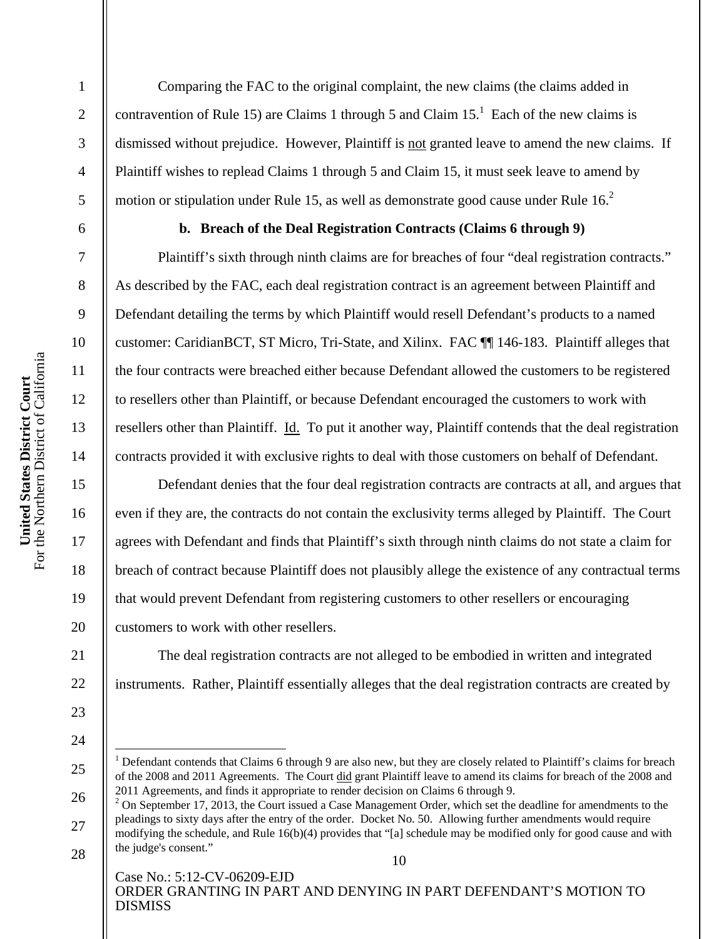2

3

4

5

6

7

8

9

10

11

12

13

14

15

16

17

18

19

20

21

22

23

24

 $\overline{a}$ 

25

Comparing the FAC to the original complaint, the new claims (the claims added in contravention of Rule 15) are Claims 1 through 5 and Claim  $15<sup>1</sup>$  Each of the new claims is dismissed without prejudice. However, Plaintiff is not granted leave to amend the new claims. If Plaintiff wishes to replead Claims 1 through 5 and Claim 15, it must seek leave to amend by motion or stipulation under Rule 15, as well as demonstrate good cause under Rule  $16<sup>2</sup>$ 

#### **b. Breach of the Deal Registration Contracts (Claims 6 through 9)**

Plaintiff's sixth through ninth claims are for breaches of four "deal registration contracts." As described by the FAC, each deal registration contract is an agreement between Plaintiff and Defendant detailing the terms by which Plaintiff would resell Defendant's products to a named customer: CaridianBCT, ST Micro, Tri-State, and Xilinx. FAC ¶¶ 146-183. Plaintiff alleges that the four contracts were breached either because Defendant allowed the customers to be registered to resellers other than Plaintiff, or because Defendant encouraged the customers to work with resellers other than Plaintiff. Id. To put it another way, Plaintiff contends that the deal registration contracts provided it with exclusive rights to deal with those customers on behalf of Defendant.

Defendant denies that the four deal registration contracts are contracts at all, and argues that even if they are, the contracts do not contain the exclusivity terms alleged by Plaintiff. The Court agrees with Defendant and finds that Plaintiff's sixth through ninth claims do not state a claim for breach of contract because Plaintiff does not plausibly allege the existence of any contractual terms that would prevent Defendant from registering customers to other resellers or encouraging customers to work with other resellers.

The deal registration contracts are not alleged to be embodied in written and integrated instruments. Rather, Plaintiff essentially alleges that the deal registration contracts are created by

<sup>&</sup>lt;sup>1</sup> Defendant contends that Claims 6 through 9 are also new, but they are closely related to Plaintiff's claims for breach of the 2008 and 2011 Agreements. The Court did grant Plaintiff leave to amend its claims for breach of the 2008 and 2011 Agreements, and finds it appropriate to render decision on Claims 6 through 9.

<sup>26</sup>  27 28  $2$  On September 17, 2013, the Court issued a Case Management Order, which set the deadline for amendments to the pleadings to sixty days after the entry of the order. Docket No. 50. Allowing further amendments would require modifying the schedule, and Rule 16(b)(4) provides that "[a] schedule may be modified only for good cause and with the judge's consent."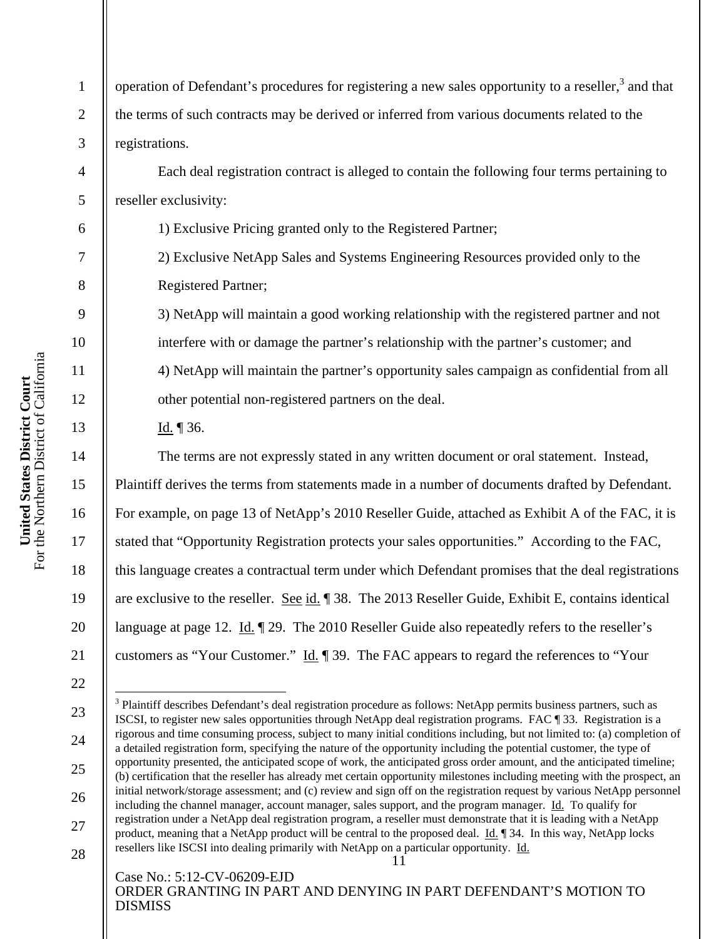operation of Defendant's procedures for registering a new sales opportunity to a reseller,<sup>3</sup> and that the terms of such contracts may be derived or inferred from various documents related to the registrations.

Each deal registration contract is alleged to contain the following four terms pertaining to reseller exclusivity:

1) Exclusive Pricing granted only to the Registered Partner;

2) Exclusive NetApp Sales and Systems Engineering Resources provided only to the Registered Partner;

3) NetApp will maintain a good working relationship with the registered partner and not interfere with or damage the partner's relationship with the partner's customer; and 4) NetApp will maintain the partner's opportunity sales campaign as confidential from all other potential non-registered partners on the deal.

Id. ¶ 36.

The terms are not expressly stated in any written document or oral statement. Instead, Plaintiff derives the terms from statements made in a number of documents drafted by Defendant. For example, on page 13 of NetApp's 2010 Reseller Guide, attached as Exhibit A of the FAC, it is stated that "Opportunity Registration protects your sales opportunities." According to the FAC, this language creates a contractual term under which Defendant promises that the deal registrations are exclusive to the reseller. See id. ¶ 38. The 2013 Reseller Guide, Exhibit E, contains identical language at page 12. Id.  $\llbracket 29$ . The 2010 Reseller Guide also repeatedly refers to the reseller's customers as "Your Customer." Id. ¶ 39. The FAC appears to regard the references to "Your

Case No.: 5:12-CV-06209-EJD ORDER GRANTING IN PART AND DENYING IN PART DEFENDANT'S MOTION TO DISMISS

1

2

3

4

5

6

7

8

9

10

11

12

13

14

15

16

17

18

19

20

21

22

 $\overline{a}$ 

23

24

26

27

<sup>11</sup>  25 <sup>3</sup> Plaintiff describes Defendant's deal registration procedure as follows: NetApp permits business partners, such as ISCSI, to register new sales opportunities through NetApp deal registration programs. FAC ¶ 33. Registration is a rigorous and time consuming process, subject to many initial conditions including, but not limited to: (a) completion of a detailed registration form, specifying the nature of the opportunity including the potential customer, the type of opportunity presented, the anticipated scope of work, the anticipated gross order amount, and the anticipated timeline; (b) certification that the reseller has already met certain opportunity milestones including meeting with the prospect, an initial network/storage assessment; and (c) review and sign off on the registration request by various NetApp personnel including the channel manager, account manager, sales support, and the program manager. Id. To qualify for registration under a NetApp deal registration program, a reseller must demonstrate that it is leading with a NetApp product, meaning that a NetApp product will be central to the proposed deal. Id. ¶ 34. In this way, NetApp locks resellers like ISCSI into dealing primarily with NetApp on a particular opportunity. Id.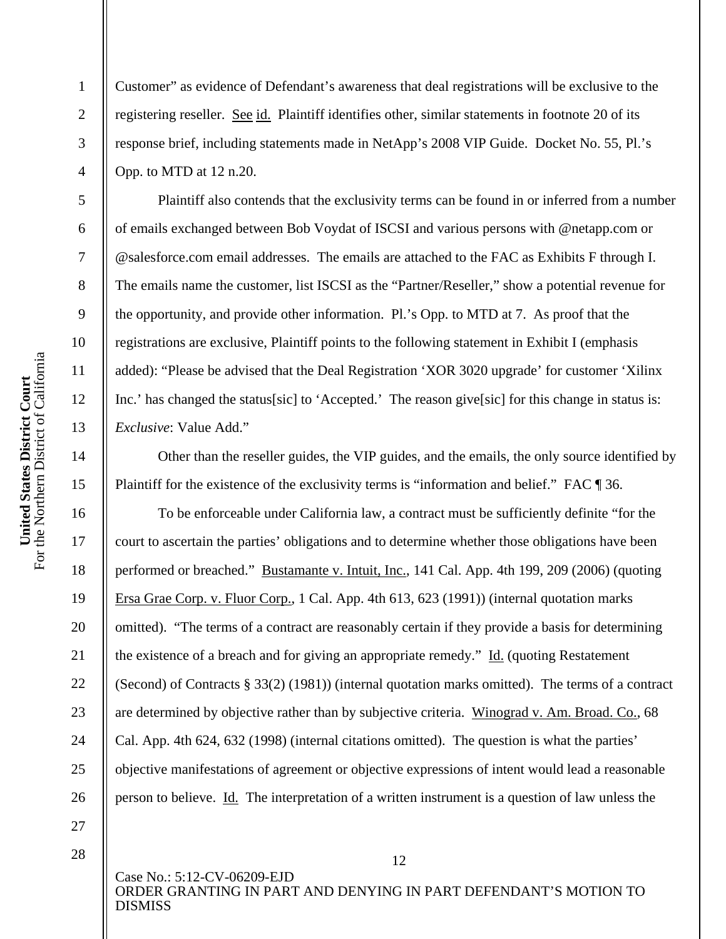Customer" as evidence of Defendant's awareness that deal registrations will be exclusive to the registering reseller. See id. Plaintiff identifies other, similar statements in footnote 20 of its response brief, including statements made in NetApp's 2008 VIP Guide. Docket No. 55, Pl.'s Opp. to MTD at 12 n.20.

Plaintiff also contends that the exclusivity terms can be found in or inferred from a number of emails exchanged between Bob Voydat of ISCSI and various persons with @netapp.com or @salesforce.com email addresses. The emails are attached to the FAC as Exhibits F through I. The emails name the customer, list ISCSI as the "Partner/Reseller," show a potential revenue for the opportunity, and provide other information. Pl.'s Opp. to MTD at 7. As proof that the registrations are exclusive, Plaintiff points to the following statement in Exhibit I (emphasis added): "Please be advised that the Deal Registration 'XOR 3020 upgrade' for customer 'Xilinx Inc.' has changed the status [sic] to 'Accepted.' The reason give [sic] for this change in status is: *Exclusive*: Value Add."

Other than the reseller guides, the VIP guides, and the emails, the only source identified by Plaintiff for the existence of the exclusivity terms is "information and belief." FAC ¶ 36.

To be enforceable under California law, a contract must be sufficiently definite "for the court to ascertain the parties' obligations and to determine whether those obligations have been performed or breached." Bustamante v. Intuit, Inc., 141 Cal. App. 4th 199, 209 (2006) (quoting Ersa Grae Corp. v. Fluor Corp., 1 Cal. App. 4th 613, 623 (1991)) (internal quotation marks omitted). "The terms of a contract are reasonably certain if they provide a basis for determining the existence of a breach and for giving an appropriate remedy." Id. (quoting Restatement (Second) of Contracts § 33(2) (1981)) (internal quotation marks omitted). The terms of a contract are determined by objective rather than by subjective criteria. Winograd v. Am. Broad. Co., 68 Cal. App. 4th 624, 632 (1998) (internal citations omitted). The question is what the parties' objective manifestations of agreement or objective expressions of intent would lead a reasonable person to believe. Id. The interpretation of a written instrument is a question of law unless the

12

1

2

3

4

5

6

7

8

9

10

11

12

13

14

15

16

17

18

19

20

21

22

23

24

25

26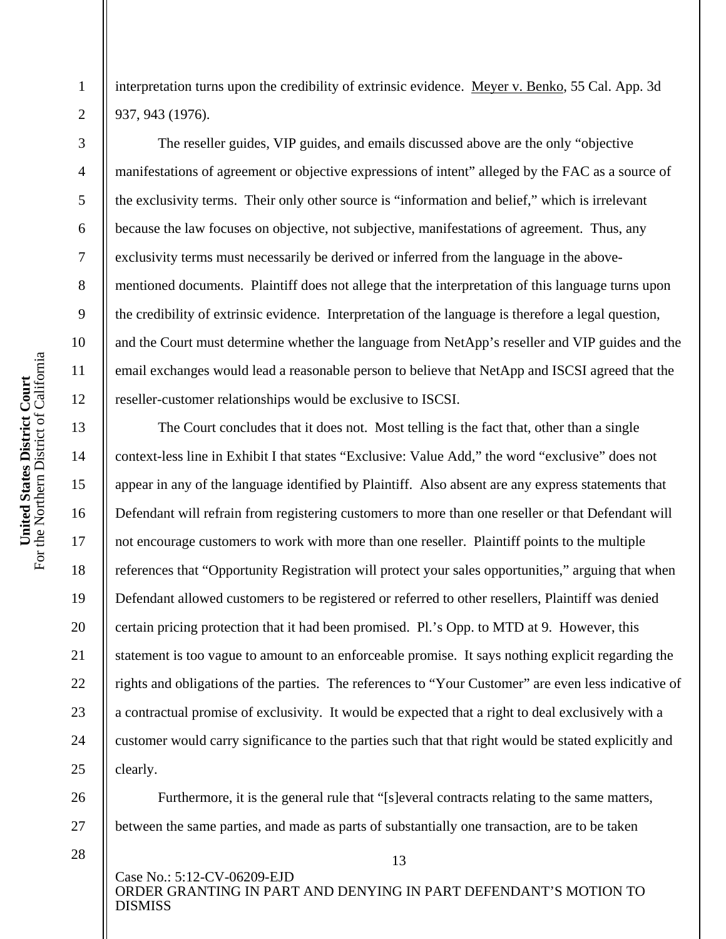For the Northern District of California United States District Court<br>For the Northern District of California **United States District Court** 

1

2

3

4

5

6

7

8

9

10

11

12

13

14

15

16

17

18

19

20

21

22

23

24

25

26

27

interpretation turns upon the credibility of extrinsic evidence. Meyer v. Benko, 55 Cal. App. 3d 937, 943 (1976).

The reseller guides, VIP guides, and emails discussed above are the only "objective manifestations of agreement or objective expressions of intent" alleged by the FAC as a source of the exclusivity terms. Their only other source is "information and belief," which is irrelevant because the law focuses on objective, not subjective, manifestations of agreement. Thus, any exclusivity terms must necessarily be derived or inferred from the language in the abovementioned documents. Plaintiff does not allege that the interpretation of this language turns upon the credibility of extrinsic evidence. Interpretation of the language is therefore a legal question, and the Court must determine whether the language from NetApp's reseller and VIP guides and the email exchanges would lead a reasonable person to believe that NetApp and ISCSI agreed that the reseller-customer relationships would be exclusive to ISCSI.

The Court concludes that it does not. Most telling is the fact that, other than a single context-less line in Exhibit I that states "Exclusive: Value Add," the word "exclusive" does not appear in any of the language identified by Plaintiff. Also absent are any express statements that Defendant will refrain from registering customers to more than one reseller or that Defendant will not encourage customers to work with more than one reseller. Plaintiff points to the multiple references that "Opportunity Registration will protect your sales opportunities," arguing that when Defendant allowed customers to be registered or referred to other resellers, Plaintiff was denied certain pricing protection that it had been promised. Pl.'s Opp. to MTD at 9. However, this statement is too vague to amount to an enforceable promise. It says nothing explicit regarding the rights and obligations of the parties. The references to "Your Customer" are even less indicative of a contractual promise of exclusivity. It would be expected that a right to deal exclusively with a customer would carry significance to the parties such that that right would be stated explicitly and clearly.

Furthermore, it is the general rule that "[s]everal contracts relating to the same matters, between the same parties, and made as parts of substantially one transaction, are to be taken

28

Case No.: 5:12-CV-06209-EJD ORDER GRANTING IN PART AND DENYING IN PART DEFENDANT'S MOTION TO DISMISS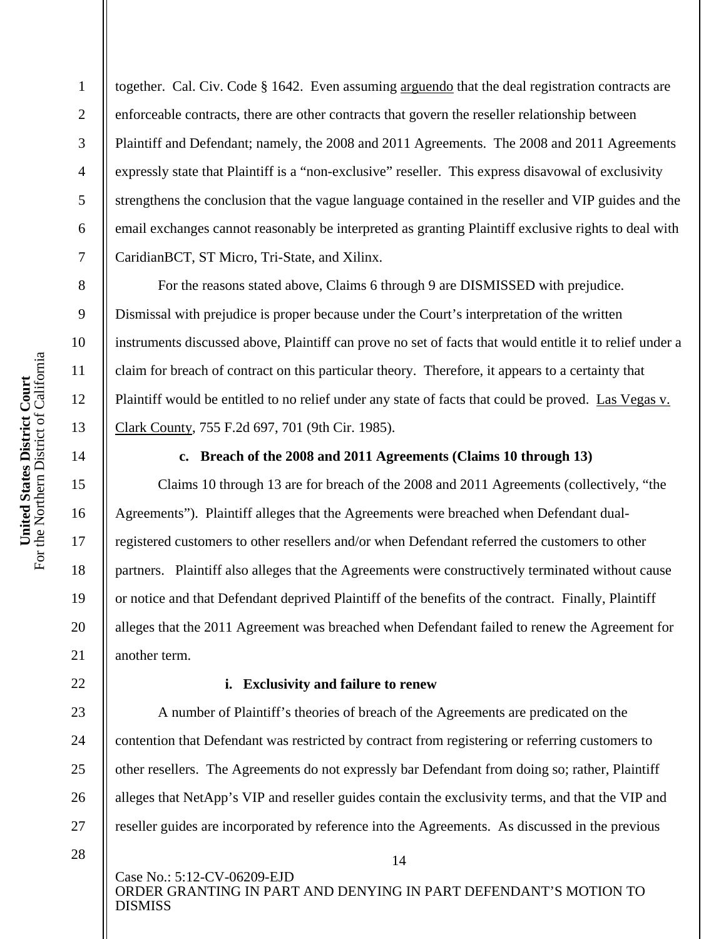together. Cal. Civ. Code § 1642. Even assuming arguendo that the deal registration contracts are enforceable contracts, there are other contracts that govern the reseller relationship between Plaintiff and Defendant; namely, the 2008 and 2011 Agreements. The 2008 and 2011 Agreements expressly state that Plaintiff is a "non-exclusive" reseller. This express disavowal of exclusivity strengthens the conclusion that the vague language contained in the reseller and VIP guides and the email exchanges cannot reasonably be interpreted as granting Plaintiff exclusive rights to deal with CaridianBCT, ST Micro, Tri-State, and Xilinx.

For the reasons stated above, Claims 6 through 9 are DISMISSED with prejudice. Dismissal with prejudice is proper because under the Court's interpretation of the written instruments discussed above, Plaintiff can prove no set of facts that would entitle it to relief under a claim for breach of contract on this particular theory. Therefore, it appears to a certainty that Plaintiff would be entitled to no relief under any state of facts that could be proved. Las Vegas v. Clark County, 755 F.2d 697, 701 (9th Cir. 1985).

14

1

2

3

4

5

6

7

8

9

10

11

12

13

15

16

17

18

19

20

 $21$ 

22

23

24

25

26

27

#### **c. Breach of the 2008 and 2011 Agreements (Claims 10 through 13)**

Claims 10 through 13 are for breach of the 2008 and 2011 Agreements (collectively, "the Agreements"). Plaintiff alleges that the Agreements were breached when Defendant dualregistered customers to other resellers and/or when Defendant referred the customers to other partners. Plaintiff also alleges that the Agreements were constructively terminated without cause or notice and that Defendant deprived Plaintiff of the benefits of the contract. Finally, Plaintiff alleges that the 2011 Agreement was breached when Defendant failed to renew the Agreement for another term.

#### **i. Exclusivity and failure to renew**

A number of Plaintiff's theories of breach of the Agreements are predicated on the contention that Defendant was restricted by contract from registering or referring customers to other resellers. The Agreements do not expressly bar Defendant from doing so; rather, Plaintiff alleges that NetApp's VIP and reseller guides contain the exclusivity terms, and that the VIP and reseller guides are incorporated by reference into the Agreements. As discussed in the previous

28

Case No.: 5:12-CV-06209-EJD ORDER GRANTING IN PART AND DENYING IN PART DEFENDANT'S MOTION TO DISMISS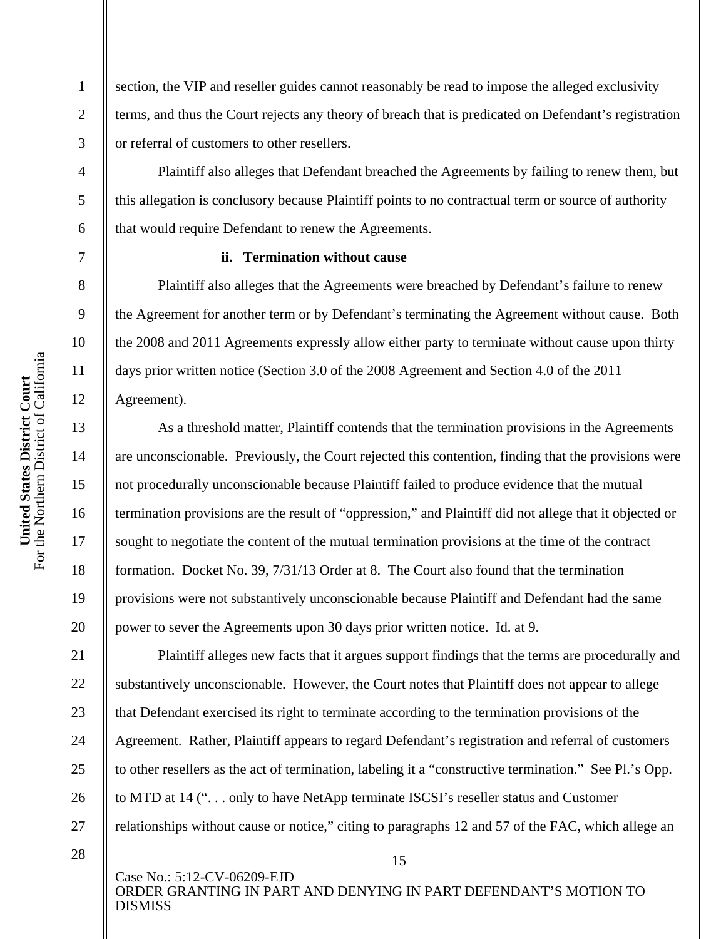section, the VIP and reseller guides cannot reasonably be read to impose the alleged exclusivity terms, and thus the Court rejects any theory of breach that is predicated on Defendant's registration or referral of customers to other resellers.

Plaintiff also alleges that Defendant breached the Agreements by failing to renew them, but this allegation is conclusory because Plaintiff points to no contractual term or source of authority that would require Defendant to renew the Agreements.

#### **ii. Termination without cause**

Plaintiff also alleges that the Agreements were breached by Defendant's failure to renew the Agreement for another term or by Defendant's terminating the Agreement without cause. Both the 2008 and 2011 Agreements expressly allow either party to terminate without cause upon thirty days prior written notice (Section 3.0 of the 2008 Agreement and Section 4.0 of the 2011 Agreement).

As a threshold matter, Plaintiff contends that the termination provisions in the Agreements are unconscionable. Previously, the Court rejected this contention, finding that the provisions were not procedurally unconscionable because Plaintiff failed to produce evidence that the mutual termination provisions are the result of "oppression," and Plaintiff did not allege that it objected or sought to negotiate the content of the mutual termination provisions at the time of the contract formation. Docket No. 39, 7/31/13 Order at 8. The Court also found that the termination provisions were not substantively unconscionable because Plaintiff and Defendant had the same power to sever the Agreements upon 30 days prior written notice. Id. at 9.

Plaintiff alleges new facts that it argues support findings that the terms are procedurally and substantively unconscionable. However, the Court notes that Plaintiff does not appear to allege that Defendant exercised its right to terminate according to the termination provisions of the Agreement. Rather, Plaintiff appears to regard Defendant's registration and referral of customers to other resellers as the act of termination, labeling it a "constructive termination." See Pl.'s Opp. to MTD at 14 (". . . only to have NetApp terminate ISCSI's reseller status and Customer relationships without cause or notice," citing to paragraphs 12 and 57 of the FAC, which allege an

28

Case No.: 5:12-CV-06209-EJD ORDER GRANTING IN PART AND DENYING IN PART DEFENDANT'S MOTION TO DISMISS

15

1

2

3

4

5

6

7

8

9

10

11

12

13

14

15

16

17

18

19

20

21

22

23

24

25

26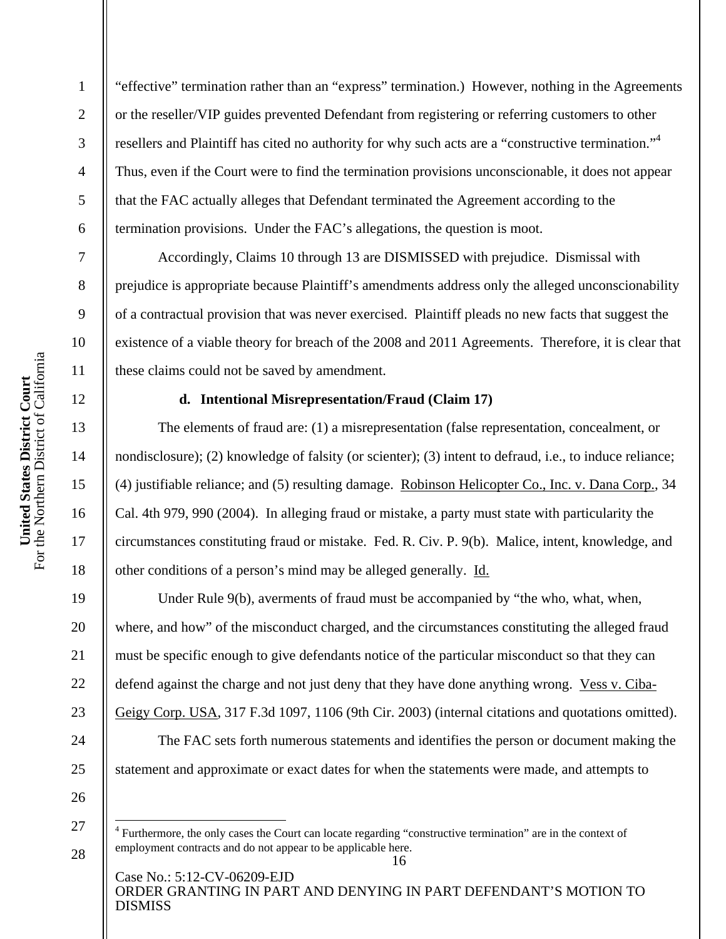2

3

4

5

6

7

8

9

10

11

12

13

14

15

16

17

18

19

20

21

22

23

24

25

26

27

 $\overline{a}$ 

28

"effective" termination rather than an "express" termination.) However, nothing in the Agreements or the reseller/VIP guides prevented Defendant from registering or referring customers to other resellers and Plaintiff has cited no authority for why such acts are a "constructive termination."<sup>4</sup> Thus, even if the Court were to find the termination provisions unconscionable, it does not appear that the FAC actually alleges that Defendant terminated the Agreement according to the termination provisions. Under the FAC's allegations, the question is moot.

Accordingly, Claims 10 through 13 are DISMISSED with prejudice. Dismissal with prejudice is appropriate because Plaintiff's amendments address only the alleged unconscionability of a contractual provision that was never exercised. Plaintiff pleads no new facts that suggest the existence of a viable theory for breach of the 2008 and 2011 Agreements. Therefore, it is clear that these claims could not be saved by amendment.

#### **d. Intentional Misrepresentation/Fraud (Claim 17)**

The elements of fraud are: (1) a misrepresentation (false representation, concealment, or nondisclosure); (2) knowledge of falsity (or scienter); (3) intent to defraud, i.e., to induce reliance; (4) justifiable reliance; and (5) resulting damage. Robinson Helicopter Co., Inc. v. Dana Corp., 34 Cal. 4th 979, 990 (2004). In alleging fraud or mistake, a party must state with particularity the circumstances constituting fraud or mistake. Fed. R. Civ. P. 9(b). Malice, intent, knowledge, and other conditions of a person's mind may be alleged generally. Id.

Under Rule 9(b), averments of fraud must be accompanied by "the who, what, when, where, and how" of the misconduct charged, and the circumstances constituting the alleged fraud must be specific enough to give defendants notice of the particular misconduct so that they can defend against the charge and not just deny that they have done anything wrong. Vess v. Ciba-Geigy Corp. USA, 317 F.3d 1097, 1106 (9th Cir. 2003) (internal citations and quotations omitted).

The FAC sets forth numerous statements and identifies the person or document making the statement and approximate or exact dates for when the statements were made, and attempts to

<sup>&</sup>lt;sup>4</sup> Furthermore, the only cases the Court can locate regarding "constructive termination" are in the context of employment contracts and do not appear to be applicable here.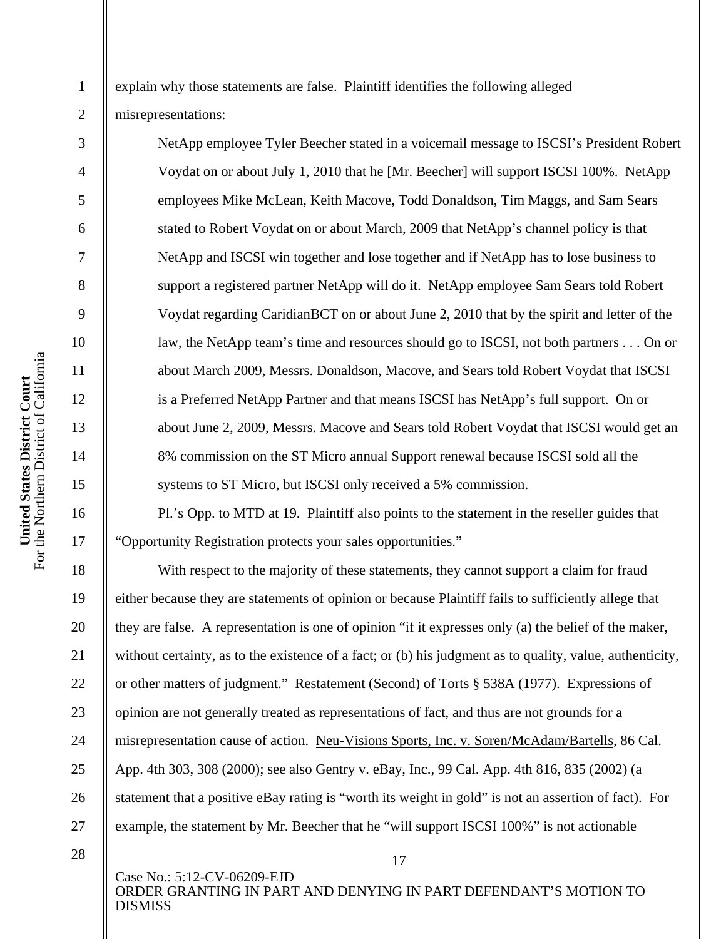explain why those statements are false. Plaintiff identifies the following alleged misrepresentations:

NetApp employee Tyler Beecher stated in a voicemail message to ISCSI's President Robert Voydat on or about July 1, 2010 that he [Mr. Beecher] will support ISCSI 100%. NetApp employees Mike McLean, Keith Macove, Todd Donaldson, Tim Maggs, and Sam Sears stated to Robert Voydat on or about March, 2009 that NetApp's channel policy is that NetApp and ISCSI win together and lose together and if NetApp has to lose business to support a registered partner NetApp will do it. NetApp employee Sam Sears told Robert Voydat regarding CaridianBCT on or about June 2, 2010 that by the spirit and letter of the law, the NetApp team's time and resources should go to ISCSI, not both partners . . . On or about March 2009, Messrs. Donaldson, Macove, and Sears told Robert Voydat that ISCSI is a Preferred NetApp Partner and that means ISCSI has NetApp's full support. On or about June 2, 2009, Messrs. Macove and Sears told Robert Voydat that ISCSI would get an 8% commission on the ST Micro annual Support renewal because ISCSI sold all the systems to ST Micro, but ISCSI only received a 5% commission.

Pl.'s Opp. to MTD at 19. Plaintiff also points to the statement in the reseller guides that "Opportunity Registration protects your sales opportunities."

With respect to the majority of these statements, they cannot support a claim for fraud either because they are statements of opinion or because Plaintiff fails to sufficiently allege that they are false. A representation is one of opinion "if it expresses only (a) the belief of the maker, without certainty, as to the existence of a fact; or (b) his judgment as to quality, value, authenticity, or other matters of judgment." Restatement (Second) of Torts § 538A (1977). Expressions of opinion are not generally treated as representations of fact, and thus are not grounds for a misrepresentation cause of action. Neu-Visions Sports, Inc. v. Soren/McAdam/Bartells, 86 Cal. App. 4th 303, 308 (2000); see also Gentry v. eBay, Inc., 99 Cal. App. 4th 816, 835 (2002) (a statement that a positive eBay rating is "worth its weight in gold" is not an assertion of fact). For example, the statement by Mr. Beecher that he "will support ISCSI 100%" is not actionable

Case No.: 5:12-CV-06209-EJD ORDER GRANTING IN PART AND DENYING IN PART DEFENDANT'S MOTION TO DISMISS

17

1

2

3

4

5

6

7

8

9

10

11

12

13

14

15

16

17

18

19

20

21

22

23

24

25

26

<sup>28</sup>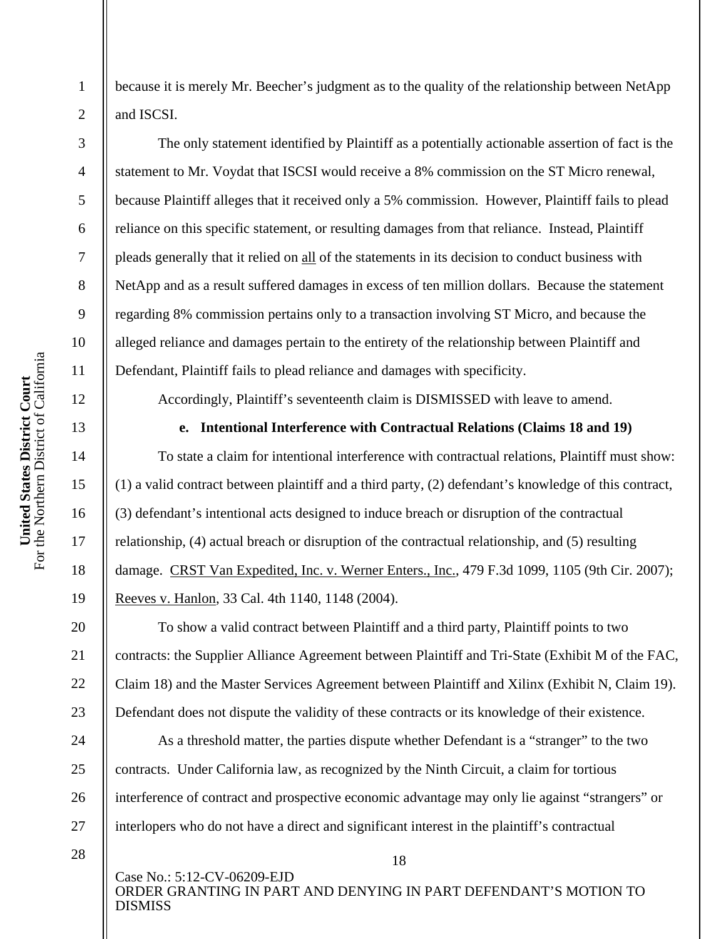2

3

4

5

6

7

8

9

10

11

12

13

14

15

16

17

18

19

20

21

22

23

24

25

26

27

because it is merely Mr. Beecher's judgment as to the quality of the relationship between NetApp and ISCSI.

The only statement identified by Plaintiff as a potentially actionable assertion of fact is the statement to Mr. Voydat that ISCSI would receive a 8% commission on the ST Micro renewal, because Plaintiff alleges that it received only a 5% commission. However, Plaintiff fails to plead reliance on this specific statement, or resulting damages from that reliance. Instead, Plaintiff pleads generally that it relied on all of the statements in its decision to conduct business with NetApp and as a result suffered damages in excess of ten million dollars. Because the statement regarding 8% commission pertains only to a transaction involving ST Micro, and because the alleged reliance and damages pertain to the entirety of the relationship between Plaintiff and Defendant, Plaintiff fails to plead reliance and damages with specificity.

Accordingly, Plaintiff's seventeenth claim is DISMISSED with leave to amend.

#### **e. Intentional Interference with Contractual Relations (Claims 18 and 19)**

To state a claim for intentional interference with contractual relations, Plaintiff must show: (1) a valid contract between plaintiff and a third party, (2) defendant's knowledge of this contract, (3) defendant's intentional acts designed to induce breach or disruption of the contractual relationship, (4) actual breach or disruption of the contractual relationship, and (5) resulting damage. CRST Van Expedited, Inc. v. Werner Enters., Inc., 479 F.3d 1099, 1105 (9th Cir. 2007); Reeves v. Hanlon, 33 Cal. 4th 1140, 1148 (2004).

To show a valid contract between Plaintiff and a third party, Plaintiff points to two contracts: the Supplier Alliance Agreement between Plaintiff and Tri-State (Exhibit M of the FAC, Claim 18) and the Master Services Agreement between Plaintiff and Xilinx (Exhibit N, Claim 19). Defendant does not dispute the validity of these contracts or its knowledge of their existence.

As a threshold matter, the parties dispute whether Defendant is a "stranger" to the two contracts. Under California law, as recognized by the Ninth Circuit, a claim for tortious interference of contract and prospective economic advantage may only lie against "strangers" or interlopers who do not have a direct and significant interest in the plaintiff's contractual

28

Case No.: 5:12-CV-06209-EJD ORDER GRANTING IN PART AND DENYING IN PART DEFENDANT'S MOTION TO DISMISS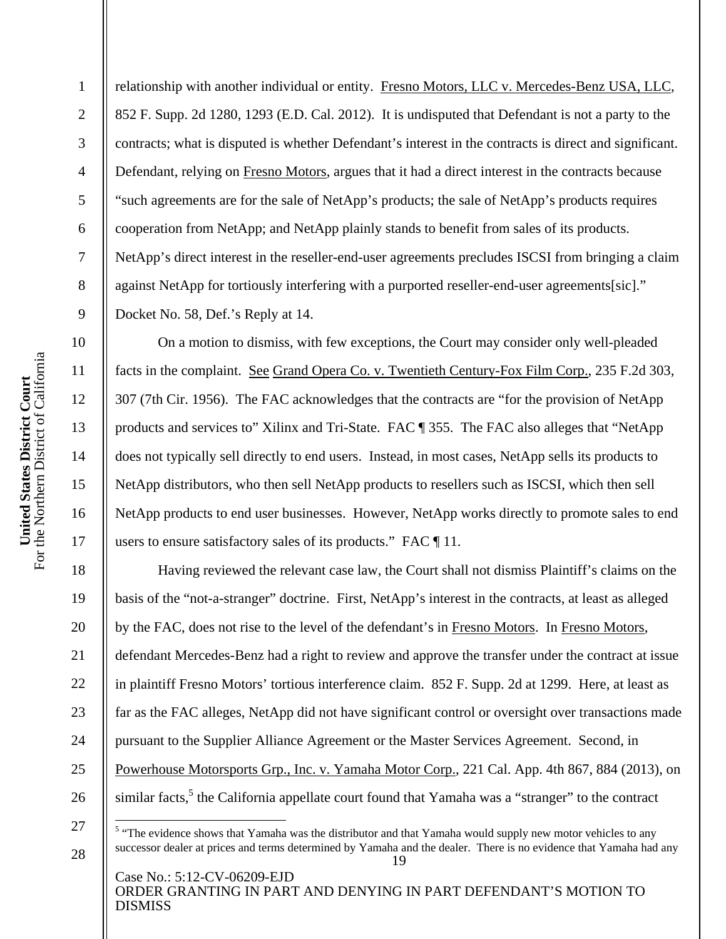relationship with another individual or entity. Fresno Motors, LLC v. Mercedes-Benz USA, LLC, 852 F. Supp. 2d 1280, 1293 (E.D. Cal. 2012). It is undisputed that Defendant is not a party to the contracts; what is disputed is whether Defendant's interest in the contracts is direct and significant. Defendant, relying on Fresno Motors, argues that it had a direct interest in the contracts because "such agreements are for the sale of NetApp's products; the sale of NetApp's products requires cooperation from NetApp; and NetApp plainly stands to benefit from sales of its products. NetApp's direct interest in the reseller-end-user agreements precludes ISCSI from bringing a claim against NetApp for tortiously interfering with a purported reseller-end-user agreements[sic]." Docket No. 58, Def.'s Reply at 14.

On a motion to dismiss, with few exceptions, the Court may consider only well-pleaded facts in the complaint. See Grand Opera Co. v. Twentieth Century-Fox Film Corp., 235 F.2d 303, 307 (7th Cir. 1956). The FAC acknowledges that the contracts are "for the provision of NetApp products and services to" Xilinx and Tri-State. FAC ¶ 355. The FAC also alleges that "NetApp does not typically sell directly to end users. Instead, in most cases, NetApp sells its products to NetApp distributors, who then sell NetApp products to resellers such as ISCSI, which then sell NetApp products to end user businesses. However, NetApp works directly to promote sales to end users to ensure satisfactory sales of its products." FAC ¶ 11.

Having reviewed the relevant case law, the Court shall not dismiss Plaintiff's claims on the basis of the "not-a-stranger" doctrine. First, NetApp's interest in the contracts, at least as alleged by the FAC, does not rise to the level of the defendant's in Fresno Motors. In Fresno Motors, defendant Mercedes-Benz had a right to review and approve the transfer under the contract at issue in plaintiff Fresno Motors' tortious interference claim. 852 F. Supp. 2d at 1299. Here, at least as far as the FAC alleges, NetApp did not have significant control or oversight over transactions made pursuant to the Supplier Alliance Agreement or the Master Services Agreement. Second, in Powerhouse Motorsports Grp., Inc. v. Yamaha Motor Corp., 221 Cal. App. 4th 867, 884 (2013), on similar facts,<sup>5</sup> the California appellate court found that Yamaha was a "stranger" to the contract

Case No.: 5:12-CV-06209-EJD ORDER GRANTING IN PART AND DENYING IN PART DEFENDANT'S MOTION TO DISMISS

1

2

3

4

5

6

7

8

9

10

11

12

13

14

15

16

17

18

19

20

21

22

23

24

25

26

 $\overline{a}$ 

<sup>19</sup>  <sup>5</sup> "The evidence shows that Yamaha was the distributor and that Yamaha would supply new motor vehicles to any successor dealer at prices and terms determined by Yamaha and the dealer. There is no evidence that Yamaha had any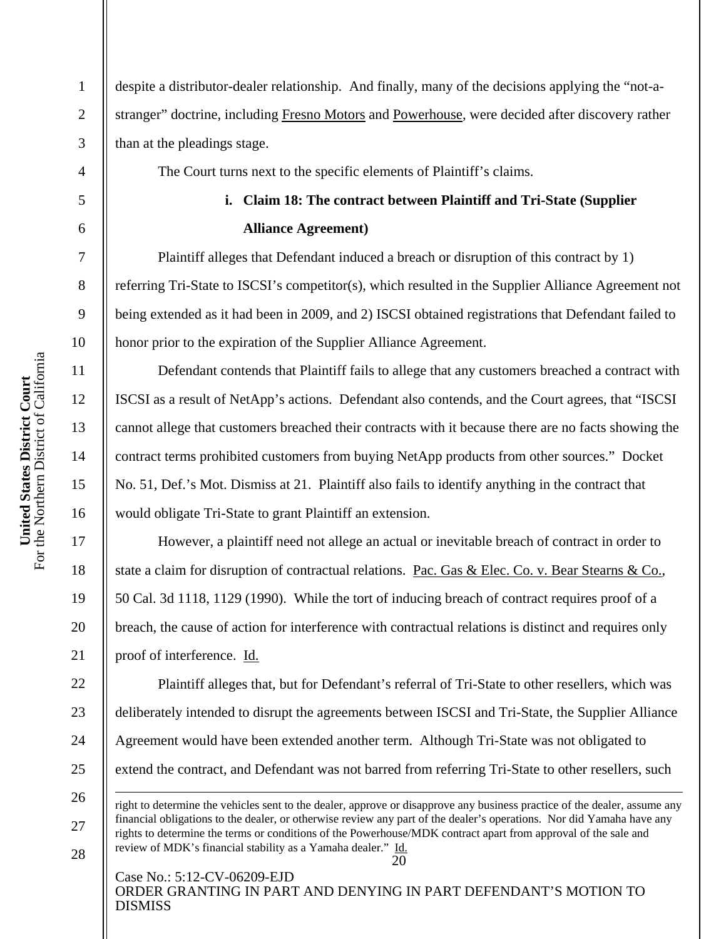2

3

4

5

6

7

8

9

10

11

12

13

14

15

16

17

18

19

20

21

22

23

24

25

26

 $\overline{a}$ 

27

28

despite a distributor-dealer relationship. And finally, many of the decisions applying the "not-astranger" doctrine, including Fresno Motors and Powerhouse, were decided after discovery rather than at the pleadings stage.

The Court turns next to the specific elements of Plaintiff's claims.

## **i. Claim 18: The contract between Plaintiff and Tri-State (Supplier Alliance Agreement)**

Plaintiff alleges that Defendant induced a breach or disruption of this contract by 1) referring Tri-State to ISCSI's competitor(s), which resulted in the Supplier Alliance Agreement not being extended as it had been in 2009, and 2) ISCSI obtained registrations that Defendant failed to honor prior to the expiration of the Supplier Alliance Agreement.

Defendant contends that Plaintiff fails to allege that any customers breached a contract with ISCSI as a result of NetApp's actions. Defendant also contends, and the Court agrees, that "ISCSI cannot allege that customers breached their contracts with it because there are no facts showing the contract terms prohibited customers from buying NetApp products from other sources." Docket No. 51, Def.'s Mot. Dismiss at 21. Plaintiff also fails to identify anything in the contract that would obligate Tri-State to grant Plaintiff an extension.

 However, a plaintiff need not allege an actual or inevitable breach of contract in order to state a claim for disruption of contractual relations. Pac. Gas & Elec. Co. v. Bear Stearns & Co., 50 Cal. 3d 1118, 1129 (1990). While the tort of inducing breach of contract requires proof of a breach, the cause of action for interference with contractual relations is distinct and requires only proof of interference. Id.

Plaintiff alleges that, but for Defendant's referral of Tri-State to other resellers, which was deliberately intended to disrupt the agreements between ISCSI and Tri-State, the Supplier Alliance Agreement would have been extended another term. Although Tri-State was not obligated to extend the contract, and Defendant was not barred from referring Tri-State to other resellers, such

20 right to determine the vehicles sent to the dealer, approve or disapprove any business practice of the dealer, assume any financial obligations to the dealer, or otherwise review any part of the dealer's operations. Nor did Yamaha have any rights to determine the terms or conditions of the Powerhouse/MDK contract apart from approval of the sale and review of MDK's financial stability as a Yamaha dealer." Id.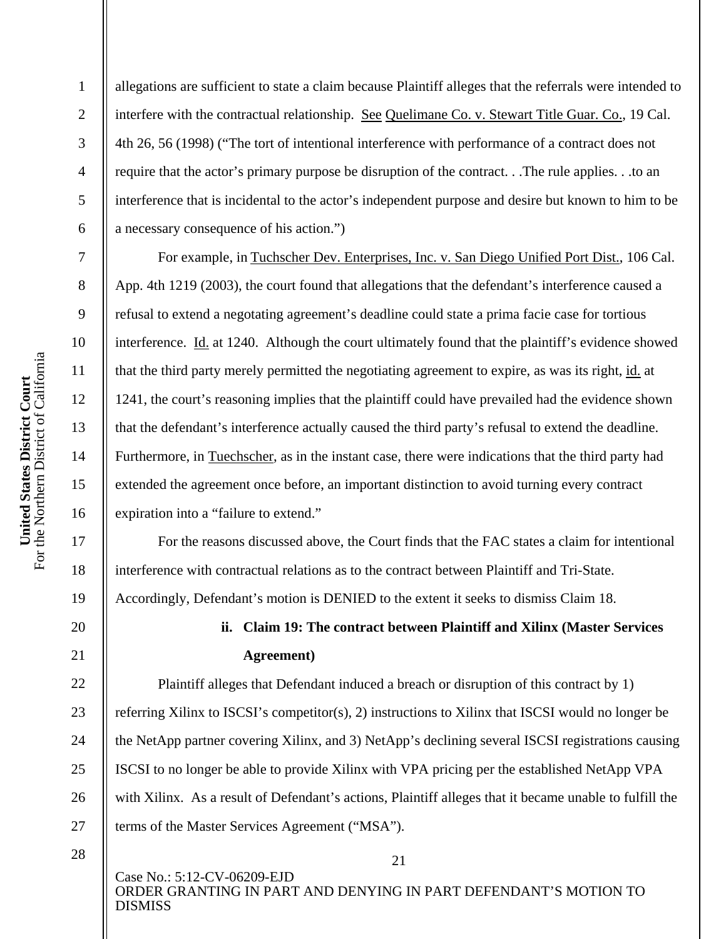2

3

4

5

6

7

8

9

10

11

12

13

14

15

16

17

18

19

20

21

22

23

24

25

26

27

allegations are sufficient to state a claim because Plaintiff alleges that the referrals were intended to interfere with the contractual relationship. See Quelimane Co. v. Stewart Title Guar. Co., 19 Cal. 4th 26, 56 (1998) ("The tort of intentional interference with performance of a contract does not require that the actor's primary purpose be disruption of the contract. . .The rule applies. . .to an interference that is incidental to the actor's independent purpose and desire but known to him to be a necessary consequence of his action.")

For example, in Tuchscher Dev. Enterprises, Inc. v. San Diego Unified Port Dist., 106 Cal. App. 4th 1219 (2003), the court found that allegations that the defendant's interference caused a refusal to extend a negotating agreement's deadline could state a prima facie case for tortious interference. Id. at 1240. Although the court ultimately found that the plaintiff's evidence showed that the third party merely permitted the negotiating agreement to expire, as was its right, id. at 1241, the court's reasoning implies that the plaintiff could have prevailed had the evidence shown that the defendant's interference actually caused the third party's refusal to extend the deadline. Furthermore, in Tuechscher, as in the instant case, there were indications that the third party had extended the agreement once before, an important distinction to avoid turning every contract expiration into a "failure to extend."

For the reasons discussed above, the Court finds that the FAC states a claim for intentional interference with contractual relations as to the contract between Plaintiff and Tri-State. Accordingly, Defendant's motion is DENIED to the extent it seeks to dismiss Claim 18.

# **ii. Claim 19: The contract between Plaintiff and Xilinx (Master Services Agreement)**

Plaintiff alleges that Defendant induced a breach or disruption of this contract by 1) referring Xilinx to ISCSI's competitor(s), 2) instructions to Xilinx that ISCSI would no longer be the NetApp partner covering Xilinx, and 3) NetApp's declining several ISCSI registrations causing ISCSI to no longer be able to provide Xilinx with VPA pricing per the established NetApp VPA with Xilinx. As a result of Defendant's actions, Plaintiff alleges that it became unable to fulfill the terms of the Master Services Agreement ("MSA").

28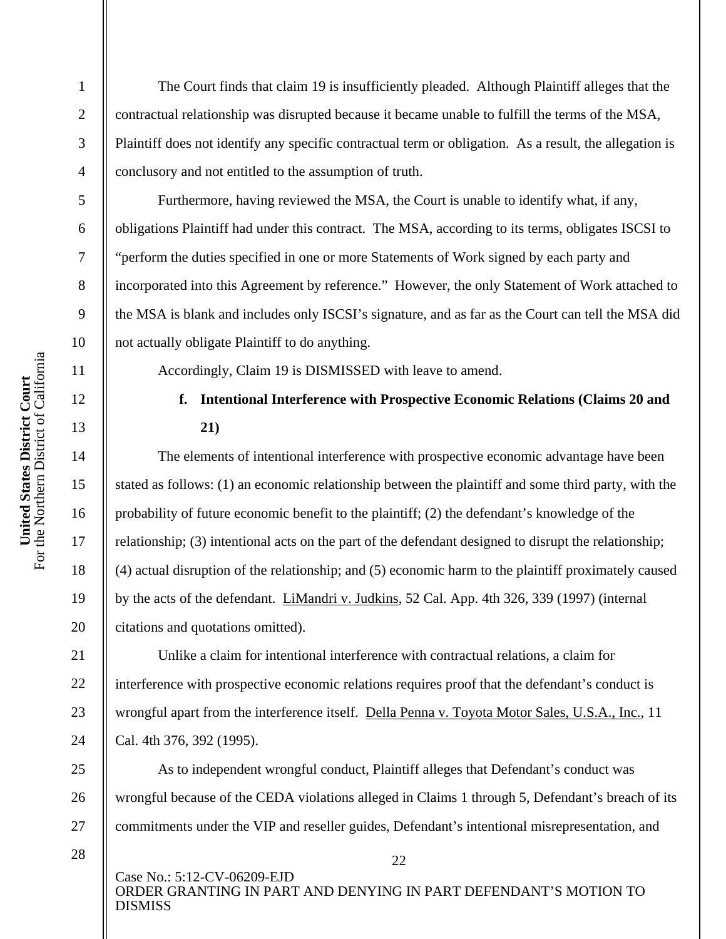The Court finds that claim 19 is insufficiently pleaded. Although Plaintiff alleges that the contractual relationship was disrupted because it became unable to fulfill the terms of the MSA, Plaintiff does not identify any specific contractual term or obligation. As a result, the allegation is conclusory and not entitled to the assumption of truth.

Furthermore, having reviewed the MSA, the Court is unable to identify what, if any, obligations Plaintiff had under this contract. The MSA, according to its terms, obligates ISCSI to "perform the duties specified in one or more Statements of Work signed by each party and incorporated into this Agreement by reference." However, the only Statement of Work attached to the MSA is blank and includes only ISCSI's signature, and as far as the Court can tell the MSA did not actually obligate Plaintiff to do anything.

Accordingly, Claim 19 is DISMISSED with leave to amend.

### **f. Intentional Interference with Prospective Economic Relations (Claims 20 and 21)**

The elements of intentional interference with prospective economic advantage have been stated as follows: (1) an economic relationship between the plaintiff and some third party, with the probability of future economic benefit to the plaintiff; (2) the defendant's knowledge of the relationship; (3) intentional acts on the part of the defendant designed to disrupt the relationship; (4) actual disruption of the relationship; and (5) economic harm to the plaintiff proximately caused by the acts of the defendant. LiMandri v. Judkins, 52 Cal. App. 4th 326, 339 (1997) (internal citations and quotations omitted).

Unlike a claim for intentional interference with contractual relations, a claim for interference with prospective economic relations requires proof that the defendant's conduct is wrongful apart from the interference itself. Della Penna v. Toyota Motor Sales, U.S.A., Inc., 11 Cal. 4th 376, 392 (1995).

As to independent wrongful conduct, Plaintiff alleges that Defendant's conduct was wrongful because of the CEDA violations alleged in Claims 1 through 5, Defendant's breach of its commitments under the VIP and reseller guides, Defendant's intentional misrepresentation, and

28

Case No.: 5:12-CV-06209-EJD ORDER GRANTING IN PART AND DENYING IN PART DEFENDANT'S MOTION TO DISMISS

22

1

2

3

4

5

6

7

8

9

10

11

12

13

14

15

16

17

18

19

20

21

22

23

24

25

26